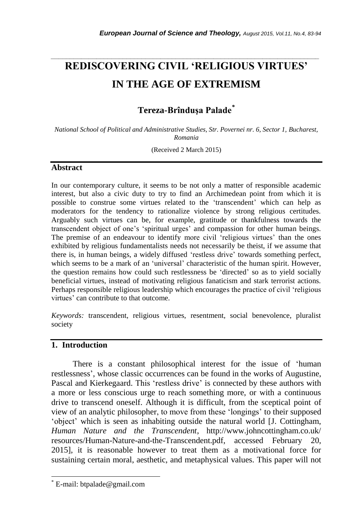# **REDISCOVERING CIVIL 'RELIGIOUS VIRTUES' IN THE AGE OF EXTREMISM**

*\_\_\_\_\_\_\_\_\_\_\_\_\_\_\_\_\_\_\_\_\_\_\_\_\_\_\_\_\_\_\_\_\_\_\_\_\_\_\_\_\_\_\_\_\_\_\_\_\_\_\_\_\_\_\_\_\_\_\_\_\_\_\_\_\_\_\_\_\_\_\_*

## **Tereza-Brînduşa Palade***\**

*National School of Political and Administrative Studies, Str. Povernei nr. 6, Sector 1, Bucharest, Romania*

(Received 2 March 2015)

#### **Abstract**

In our contemporary culture, it seems to be not only a matter of responsible academic interest, but also a civic duty to try to find an Archimedean point from which it is possible to construe some virtues related to the 'transcendent' which can help as moderators for the tendency to rationalize violence by strong religious certitudes. Arguably such virtues can be, for example, gratitude or thankfulness towards the transcendent object of one's 'spiritual urges' and compassion for other human beings. The premise of an endeavour to identify more civil 'religious virtues' than the ones exhibited by religious fundamentalists needs not necessarily be theist, if we assume that there is, in human beings, a widely diffused 'restless drive' towards something perfect, which seems to be a mark of an 'universal' characteristic of the human spirit. However, the question remains how could such restlessness be 'directed' so as to yield socially beneficial virtues, instead of motivating religious fanaticism and stark terrorist actions. Perhaps responsible religious leadership which encourages the practice of civil 'religious virtues' can contribute to that outcome.

*Keywords:* transcendent, religious virtues, resentment, social benevolence, pluralist society

#### **1. Introduction**

 There is a constant philosophical interest for the issue of 'human restlessness', whose classic occurrences can be found in the works of Augustine, Pascal and Kierkegaard. This 'restless drive' is connected by these authors with a more or less conscious urge to reach something more, or with a continuous drive to transcend oneself. Although it is difficult, from the sceptical point of view of an analytic philosopher, to move from these 'longings' to their supposed 'object' which is seen as inhabiting outside the natural world [J. Cottingham, *Human Nature and the Transcendent*, http://www.johncottingham.co.uk/ resources/Human-Nature-and-the-Transcendent.pdf, accessed February 20, 2015], it is reasonable however to treat them as a motivational force for sustaining certain moral, aesthetic, and metaphysical values. This paper will not

l

E-mail: btpalade@gmail.com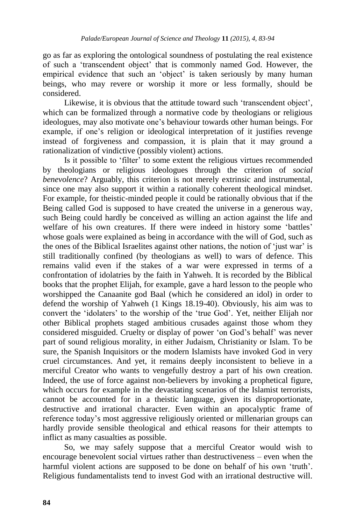go as far as exploring the ontological soundness of postulating the real existence of such a 'transcendent object' that is commonly named God. However, the empirical evidence that such an 'object' is taken seriously by many human beings, who may revere or worship it more or less formally, should be considered.

Likewise, it is obvious that the attitude toward such 'transcendent object'. which can be formalized through a normative code by theologians or religious ideologues, may also motivate one's behaviour towards other human beings. For example, if one's religion or ideological interpretation of it justifies revenge instead of forgiveness and compassion, it is plain that it may ground a rationalization of vindictive (possibly violent) actions.

Is it possible to 'filter' to some extent the religious virtues recommended by theologians or religious ideologues through the criterion of *social benevolence*? Arguably, this criterion is not merely extrinsic and instrumental, since one may also support it within a rationally coherent theological mindset. For example, for theistic-minded people it could be rationally obvious that if the Being called God is supposed to have created the universe in a generous way, such Being could hardly be conceived as willing an action against the life and welfare of his own creatures. If there were indeed in history some 'battles' whose goals were explained as being in accordance with the will of God, such as the ones of the Biblical Israelites against other nations, the notion of 'just war' is still traditionally confined (by theologians as well) to wars of defence. This remains valid even if the stakes of a war were expressed in terms of a confrontation of idolatries by the faith in Yahweh. It is recorded by the Biblical books that the prophet Elijah, for example, gave a hard lesson to the people who worshipped the Canaanite god Baal (which he considered an idol) in order to defend the worship of Yahweh (1 Kings 18.19-40). Obviously, his aim was to convert the 'idolaters' to the worship of the 'true God'. Yet, neither Elijah nor other Biblical prophets staged ambitious crusades against those whom they considered misguided. Cruelty or display of power 'on God's behalf' was never part of sound religious morality, in either Judaism, Christianity or Islam. To be sure, the Spanish Inquisitors or the modern Islamists have invoked God in very cruel circumstances. And yet, it remains deeply inconsistent to believe in a merciful Creator who wants to vengefully destroy a part of his own creation. Indeed, the use of force against non-believers by invoking a prophetical figure, which occurs for example in the devastating scenarios of the Islamist terrorists, cannot be accounted for in a theistic language, given its disproportionate, destructive and irrational character. Even within an apocalyptic frame of reference today's most aggressive religiously oriented or millenarian groups can hardly provide sensible theological and ethical reasons for their attempts to inflict as many casualties as possible.

So, we may safely suppose that a merciful Creator would wish to encourage benevolent social virtues rather than destructiveness – even when the harmful violent actions are supposed to be done on behalf of his own 'truth'. Religious fundamentalists tend to invest God with an irrational destructive will.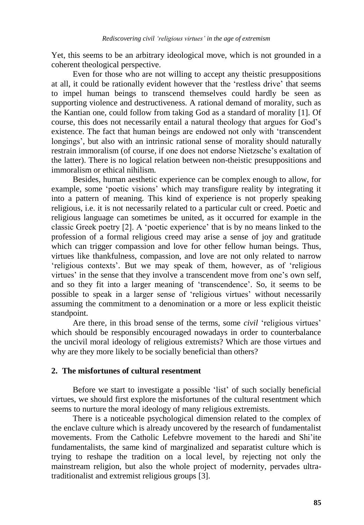Yet, this seems to be an arbitrary ideological move, which is not grounded in a coherent theological perspective.

Even for those who are not willing to accept any theistic presuppositions at all, it could be rationally evident however that the 'restless drive' that seems to impel human beings to transcend themselves could hardly be seen as supporting violence and destructiveness. A rational demand of morality, such as the Kantian one, could follow from taking God as a standard of morality [1]. Of course, this does not necessarily entail a natural theology that argues for God's existence. The fact that human beings are endowed not only with 'transcendent longings', but also with an intrinsic rational sense of morality should naturally restrain immoralism (of course, if one does not endorse Nietzsche's exaltation of the latter). There is no logical relation between non-theistic presuppositions and immoralism or ethical nihilism.

Besides, human aesthetic experience can be complex enough to allow, for example, some 'poetic visions' which may transfigure reality by integrating it into a pattern of meaning. This kind of experience is not properly speaking religious, i.e. it is not necessarily related to a particular cult or creed. Poetic and religious language can sometimes be united, as it occurred for example in the classic Greek poetry [2]. A 'poetic experience' that is by no means linked to the profession of a formal religious creed may arise a sense of joy and gratitude which can trigger compassion and love for other fellow human beings. Thus, virtues like thankfulness, compassion, and love are not only related to narrow 'religious contexts'. But we may speak of them, however, as of 'religious virtues' in the sense that they involve a transcendent move from one's own self, and so they fit into a larger meaning of 'transcendence'. So, it seems to be possible to speak in a larger sense of 'religious virtues' without necessarily assuming the commitment to a denomination or a more or less explicit theistic standpoint.

Are there, in this broad sense of the terms, some *civil* 'religious virtues' which should be responsibly encouraged nowadays in order to counterbalance the uncivil moral ideology of religious extremists? Which are those virtues and why are they more likely to be socially beneficial than others?

## **2. The misfortunes of cultural resentment**

Before we start to investigate a possible 'list' of such socially beneficial virtues, we should first explore the misfortunes of the cultural resentment which seems to nurture the moral ideology of many religious extremists.

There is a noticeable psychological dimension related to the complex of the enclave culture which is already uncovered by the research of fundamentalist movements. From the Catholic Lefebvre movement to the haredi and Shi'ite fundamentalists, the same kind of marginalized and separatist culture which is trying to reshape the tradition on a local level, by rejecting not only the mainstream religion, but also the whole project of modernity, pervades ultratraditionalist and extremist religious groups [3].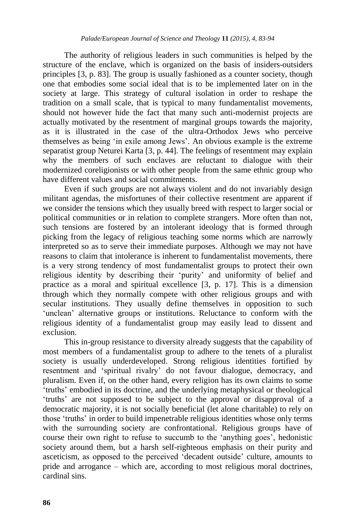The authority of religious leaders in such communities is helped by the structure of the enclave, which is organized on the basis of insiders-outsiders principles [3, p. 83]. The group is usually fashioned as a counter society, though one that embodies some social ideal that is to be implemented later on in the society at large. This strategy of cultural isolation in order to reshape the tradition on a small scale, that is typical to many fundamentalist movements, should not however hide the fact that many such anti-modernist projects are actually motivated by the resentment of marginal groups towards the majority, as it is illustrated in the case of the ultra-Orthodox Jews who perceive themselves as being 'in exile among Jews'. An obvious example is the extreme separatist group Neturei Karta [3, p. 44]. The feelings of resentment may explain why the members of such enclaves are reluctant to dialogue with their modernized coreligionists or with other people from the same ethnic group who have different values and social commitments.

Even if such groups are not always violent and do not invariably design militant agendas, the misfortunes of their collective resentment are apparent if we consider the tensions which they usually breed with respect to larger social or political communities or in relation to complete strangers. More often than not, such tensions are fostered by an intolerant ideology that is formed through picking from the legacy of religious teaching some norms which are narrowly interpreted so as to serve their immediate purposes. Although we may not have reasons to claim that intolerance is inherent to fundamentalist movements, there is a very strong tendency of most fundamentalist groups to protect their own religious identity by describing their 'purity' and uniformity of belief and practice as a moral and spiritual excellence [3, p. 17]. This is a dimension through which they normally compete with other religious groups and with secular institutions. They usually define themselves in opposition to such 'unclean' alternative groups or institutions. Reluctance to conform with the religious identity of a fundamentalist group may easily lead to dissent and exclusion.

This in-group resistance to diversity already suggests that the capability of most members of a fundamentalist group to adhere to the tenets of a pluralist society is usually underdeveloped. Strong religious identities fortified by resentment and 'spiritual rivalry' do not favour dialogue, democracy, and pluralism. Even if, on the other hand, every religion has its own claims to some 'truths' embodied in its doctrine, and the underlying metaphysical or theological 'truths' are not supposed to be subject to the approval or disapproval of a democratic majority, it is not socially beneficial (let alone charitable) to rely on those 'truths' in order to build impenetrable religious identities whose only terms with the surrounding society are confrontational. Religious groups have of course their own right to refuse to succumb to the 'anything goes', hedonistic society around them, but a harsh self-righteous emphasis on their purity and asceticism, as opposed to the perceived 'decadent outside' culture, amounts to pride and arrogance – which are, according to most religious moral doctrines, cardinal sins.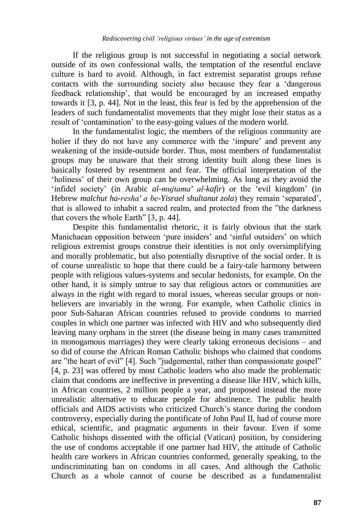If the religious group is not successful in negotiating a social network outside of its own confessional walls, the temptation of the resentful enclave culture is hard to avoid. Although, in fact extremist separatist groups refuse contacts with the surrounding society also because they fear a 'dangerous feedback relationship', that would be encouraged by an increased empathy towards it [3, p. 44]. Not in the least, this fear is fed by the apprehension of the leaders of such fundamentalist movements that they might lose their status as a result of 'contamination' to the easy-going values of the modern world.

In the fundamentalist logic, the members of the religious community are holier if they do not have any commerce with the 'impure' and prevent any weakening of the inside-outside border. Thus, most members of fundamentalist groups may be unaware that their strong identity built along these lines is basically fostered by resentment and fear. The official interpretation of the 'holiness' of their own group can be overwhelming. As long as they avoid the 'infidel society' (in Arabic *al-mujtamaʹ al-kafir*) or the 'evil kingdom' (in Hebrew *malchut ha-reshaʹ a be-Yisrael shultanut zola*) they remain 'separated', that is allowed to inhabit a sacred realm, and protected from the "the darkness that covers the whole Earth" [3, p. 44].

Despite this fundamentalist rhetoric, it is fairly obvious that the stark Manichaean opposition between 'pure insiders' and 'sinful outsiders' on which religious extremist groups construe their identities is not only oversimplifying and morally problematic, but also potentially disruptive of the social order. It is of course unrealistic to hope that there could be a fairy-tale harmony between people with religious values-systems and secular hedonists, for example. On the other hand, it is simply untrue to say that religious actors or communities are always in the right with regard to moral issues, whereas secular groups or nonbelievers are invariably in the wrong. For example, when Catholic clinics in poor Sub-Saharan African countries refused to provide condoms to married couples in which one partner was infected with HIV and who subsequently died leaving many orphans in the street (the disease being in many cases transmitted in monogamous marriages) they were clearly taking erroneous decisions – and so did of course the African Roman Catholic bishops who claimed that condoms are "the heart of evil" [4]. Such "judgemental, rather than compassionate gospel" [4, p. 23] was offered by most Catholic leaders who also made the problematic claim that condoms are ineffective in preventing a disease like HIV, which kills, in African countries, 2 million people a year, and proposed instead the more unrealistic alternative to educate people for abstinence. The public health officials and AIDS activists who criticized Church's stance during the condom controversy, especially during the pontificate of John Paul II, had of course more ethical, scientific, and pragmatic arguments in their favour. Even if some Catholic bishops dissented with the official (Vatican) position, by considering the use of condoms acceptable if one partner had HIV, the attitude of Catholic health care workers in African countries conformed, generally speaking, to the undiscriminating ban on condoms in all cases. And although the Catholic Church as a whole cannot of course be described as a fundamentalist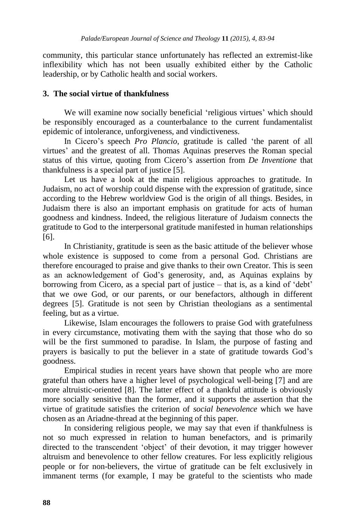community, this particular stance unfortunately has reflected an extremist-like inflexibility which has not been usually exhibited either by the Catholic leadership, or by Catholic health and social workers.

## **3. The social virtue of thankfulness**

We will examine now socially beneficial 'religious virtues' which should be responsibly encouraged as a counterbalance to the current fundamentalist epidemic of intolerance, unforgiveness, and vindictiveness.

In Cicero's speech *Pro Plancio*, gratitude is called 'the parent of all virtues' and the greatest of all. Thomas Aquinas preserves the Roman special status of this virtue, quoting from Cicero's assertion from *De Inventione* that thankfulness is a special part of justice [5].

Let us have a look at the main religious approaches to gratitude. In Judaism, no act of worship could dispense with the expression of gratitude, since according to the Hebrew worldview God is the origin of all things. Besides, in Judaism there is also an important emphasis on gratitude for acts of human goodness and kindness. Indeed, the religious literature of Judaism connects the gratitude to God to the interpersonal gratitude manifested in human relationships [6].

In Christianity, gratitude is seen as the basic attitude of the believer whose whole existence is supposed to come from a personal God. Christians are therefore encouraged to praise and give thanks to their own Creator. This is seen as an acknowledgement of God's generosity, and, as Aquinas explains by borrowing from Cicero, as a special part of justice – that is, as a kind of 'debt' that we owe God, or our parents, or our benefactors, although in different degrees [5]. Gratitude is not seen by Christian theologians as a sentimental feeling, but as a virtue.

Likewise, Islam encourages the followers to praise God with gratefulness in every circumstance, motivating them with the saying that those who do so will be the first summoned to paradise. In Islam, the purpose of fasting and prayers is basically to put the believer in a state of gratitude towards God's goodness.

Empirical studies in recent years have shown that people who are more grateful than others have a higher level of psychological well-being [7] and are more altruistic-oriented [8]. The latter effect of a thankful attitude is obviously more socially sensitive than the former, and it supports the assertion that the virtue of gratitude satisfies the criterion of *social benevolence* which we have chosen as an Ariadne-thread at the beginning of this paper.

In considering religious people, we may say that even if thankfulness is not so much expressed in relation to human benefactors, and is primarily directed to the transcendent 'object' of their devotion, it may trigger however altruism and benevolence to other fellow creatures. For less explicitly religious people or for non-believers, the virtue of gratitude can be felt exclusively in immanent terms (for example, I may be grateful to the scientists who made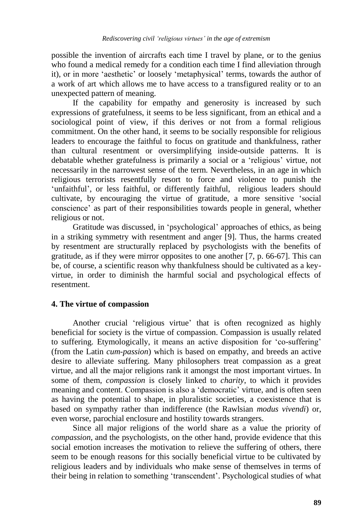possible the invention of aircrafts each time I travel by plane, or to the genius who found a medical remedy for a condition each time I find alleviation through it), or in more 'aesthetic' or loosely 'metaphysical' terms, towards the author of a work of art which allows me to have access to a transfigured reality or to an unexpected pattern of meaning.

If the capability for empathy and generosity is increased by such expressions of gratefulness, it seems to be less significant, from an ethical and a sociological point of view, if this derives or not from a formal religious commitment. On the other hand, it seems to be socially responsible for religious leaders to encourage the faithful to focus on gratitude and thankfulness, rather than cultural resentment or oversimplifying inside-outside patterns. It is debatable whether gratefulness is primarily a social or a 'religious' virtue, not necessarily in the narrowest sense of the term. Nevertheless, in an age in which religious terrorists resentfully resort to force and violence to punish the 'unfaithful', or less faithful, or differently faithful, religious leaders should cultivate, by encouraging the virtue of gratitude, a more sensitive 'social conscience' as part of their responsibilities towards people in general, whether religious or not.

Gratitude was discussed, in 'psychological' approaches of ethics, as being in a striking symmetry with resentment and anger [9]. Thus, the harms created by resentment are structurally replaced by psychologists with the benefits of gratitude, as if they were mirror opposites to one another [7, p. 66-67]. This can be, of course, a scientific reason why thankfulness should be cultivated as a keyvirtue, in order to diminish the harmful social and psychological effects of resentment.

#### **4. The virtue of compassion**

Another crucial 'religious virtue' that is often recognized as highly beneficial for society is the virtue of compassion. Compassion is usually related to suffering. Etymologically, it means an active disposition for 'co-suffering' (from the Latin *cum-passion*) which is based on empathy, and breeds an active desire to alleviate suffering. Many philosophers treat compassion as a great virtue, and all the major religions rank it amongst the most important virtues. In some of them, *compassion* is closely linked to *charity*, to which it provides meaning and content. Compassion is also a 'democratic' virtue, and is often seen as having the potential to shape, in pluralistic societies, a coexistence that is based on sympathy rather than indifference (the Rawlsian *modus vivendi*) or, even worse, parochial enclosure and hostility towards strangers.

Since all major religions of the world share as a value the priority of *compassion*, and the psychologists, on the other hand, provide evidence that this social emotion increases the motivation to relieve the suffering of others, there seem to be enough reasons for this socially beneficial virtue to be cultivated by religious leaders and by individuals who make sense of themselves in terms of their being in relation to something 'transcendent'. Psychological studies of what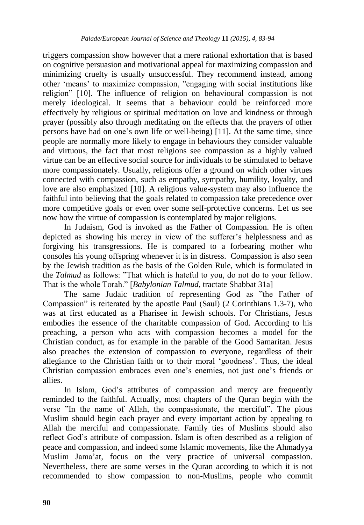triggers compassion show however that a mere rational exhortation that is based on cognitive persuasion and motivational appeal for maximizing compassion and minimizing cruelty is usually unsuccessful. They recommend instead, among other 'means' to maximize compassion, "engaging with social institutions like religion" [10]. The influence of religion on behavioural compassion is not merely ideological. It seems that a behaviour could be reinforced more effectively by religious or spiritual meditation on love and kindness or through prayer (possibly also through meditating on the effects that the prayers of other persons have had on one's own life or well-being) [11]. At the same time, since people are normally more likely to engage in behaviours they consider valuable and virtuous, the fact that most religions see compassion as a highly valued virtue can be an effective social source for individuals to be stimulated to behave more compassionately. Usually, religions offer a ground on which other virtues connected with compassion, such as empathy, sympathy, humility, loyalty, and love are also emphasized [10]. A religious value-system may also influence the faithful into believing that the goals related to compassion take precedence over more competitive goals or even over some self-protective concerns. Let us see now how the virtue of compassion is contemplated by major religions.

In Judaism, God is invoked as the Father of Compassion. He is often depicted as showing his mercy in view of the sufferer's helplessness and as forgiving his transgressions. He is compared to a forbearing mother who consoles his young offspring whenever it is in distress. Compassion is also seen by the Jewish tradition as the basis of the Golden Rule, which is formulated in the *Talmud* as follows: "That which is hateful to you, do not do to your fellow. That is the whole Torah." [*Babylonian Talmud,* tractate Shabbat 31a]

The same Judaic tradition of representing God as "the Father of Compassion" is reiterated by the apostle Paul (Saul) (2 Corinthians 1.3-7), who was at first educated as a Pharisee in Jewish schools. For Christians, Jesus embodies the essence of the charitable compassion of God. According to his preaching, a person who acts with compassion becomes a model for the Christian conduct, as for example in the parable of the Good Samaritan. Jesus also preaches the extension of compassion to everyone, regardless of their allegiance to the Christian faith or to their moral 'goodness'. Thus, the ideal Christian compassion embraces even one's enemies, not just one's friends or allies.

In Islam, God's attributes of compassion and mercy are frequently reminded to the faithful. Actually, most chapters of the Quran begin with the verse "In the name of Allah, the compassionate, the merciful". The pious Muslim should begin each prayer and every important action by appealing to Allah the merciful and compassionate. Family ties of Muslims should also reflect God's attribute of compassion. Islam is often described as a religion of peace and compassion, and indeed some Islamic movements, like the Ahmadyya Muslim Jama'at, focus on the very practice of universal compassion. Nevertheless, there are some verses in the Quran according to which it is not recommended to show compassion to non-Muslims, people who commit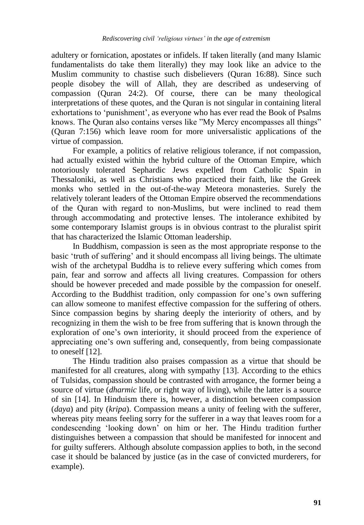adultery or fornication, apostates or infidels. If taken literally (and many Islamic fundamentalists do take them literally) they may look like an advice to the Muslim community to chastise such disbelievers (Quran 16:88). Since such people disobey the will of Allah, they are described as undeserving of compassion (Quran 24:2). Of course, there can be many theological interpretations of these quotes, and the Quran is not singular in containing literal exhortations to 'punishment', as everyone who has ever read the Book of Psalms knows. The Quran also contains verses like "My Mercy encompasses all things" (Quran 7:156) which leave room for more universalistic applications of the virtue of compassion.

For example, a politics of relative religious tolerance, if not compassion, had actually existed within the hybrid culture of the Ottoman Empire, which notoriously tolerated Sephardic Jews expelled from Catholic Spain in Thessaloniki, as well as Christians who practiced their faith, like the Greek monks who settled in the out-of-the-way Meteora monasteries. Surely the relatively tolerant leaders of the Ottoman Empire observed the recommendations of the Quran with regard to non-Muslims, but were inclined to read them through accommodating and protective lenses. The intolerance exhibited by some contemporary Islamist groups is in obvious contrast to the pluralist spirit that has characterized the Islamic Ottoman leadership.

In Buddhism, compassion is seen as the most appropriate response to the basic 'truth of suffering' and it should encompass all living beings. The ultimate wish of the archetypal Buddha is to relieve every suffering which comes from pain, fear and sorrow and affects all living creatures. Compassion for others should be however preceded and made possible by the compassion for oneself. According to the Buddhist tradition, only compassion for one's own suffering can allow someone to manifest effective compassion for the suffering of others. Since compassion begins by sharing deeply the interiority of others, and by recognizing in them the wish to be free from suffering that is known through the exploration of one's own interiority, it should proceed from the experience of appreciating one's own suffering and, consequently, from being compassionate to oneself [12].

The Hindu tradition also praises compassion as a virtue that should be manifested for all creatures, along with sympathy [13]. According to the ethics of Tulsidas, compassion should be contrasted with arrogance, the former being a source of virtue (*dharmic* life, or right way of living), while the latter is a source of sin [14]. In Hinduism there is, however, a distinction between compassion (*daya*) and pity (*kripa*). Compassion means a unity of feeling with the sufferer, whereas pity means feeling sorry for the sufferer in a way that leaves room for a condescending 'looking down' on him or her. The Hindu tradition further distinguishes between a compassion that should be manifested for innocent and for guilty sufferers. Although absolute compassion applies to both, in the second case it should be balanced by justice (as in the case of convicted murderers, for example).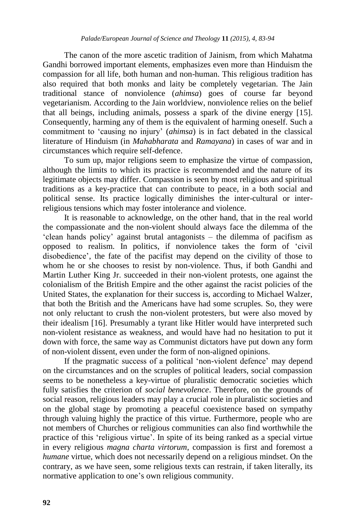The canon of the more ascetic tradition of Jainism, from which Mahatma Gandhi borrowed important elements, emphasizes even more than Hinduism the compassion for all life, both human and non-human. This religious tradition has also required that both monks and laity be completely vegetarian. The Jain traditional stance of nonviolence (*ahimsa*) goes of course far beyond vegetarianism. According to the Jain worldview, nonviolence relies on the belief that all beings, including animals, possess a spark of the divine energy [15]. Consequently, harming any of them is the equivalent of harming oneself. Such a commitment to 'causing no injury' (*ahimsa*) is in fact debated in the classical literature of Hinduism (in *Mahabharata* and *Ramayana*) in cases of war and in circumstances which require self-defence.

To sum up, major religions seem to emphasize the virtue of compassion, although the limits to which its practice is recommended and the nature of its legitimate objects may differ. Compassion is seen by most religious and spiritual traditions as a key-practice that can contribute to peace, in a both social and political sense. Its practice logically diminishes the inter-cultural or interreligious tensions which may foster intolerance and violence.

It is reasonable to acknowledge, on the other hand, that in the real world the compassionate and the non-violent should always face the dilemma of the 'clean hands policy' against brutal antagonists – the dilemma of pacifism as opposed to realism. In politics, if nonviolence takes the form of 'civil disobedience', the fate of the pacifist may depend on the civility of those to whom he or she chooses to resist by non-violence. Thus, if both Gandhi and Martin Luther King Jr. succeeded in their non-violent protests, one against the colonialism of the British Empire and the other against the racist policies of the United States, the explanation for their success is, according to Michael Walzer, that both the British and the Americans have had some scruples. So, they were not only reluctant to crush the non-violent protesters, but were also moved by their idealism [16]. Presumably a tyrant like Hitler would have interpreted such non-violent resistance as weakness, and would have had no hesitation to put it down with force, the same way as Communist dictators have put down any form of non-violent dissent, even under the form of non-aligned opinions.

If the pragmatic success of a political 'non-violent defence' may depend on the circumstances and on the scruples of political leaders, social compassion seems to be nonetheless a key-virtue of pluralistic democratic societies which fully satisfies the criterion of *social benevolence*. Therefore, on the grounds of social reason, religious leaders may play a crucial role in pluralistic societies and on the global stage by promoting a peaceful coexistence based on sympathy through valuing highly the practice of this virtue. Furthermore, people who are not members of Churches or religious communities can also find worthwhile the practice of this 'religious virtue'. In spite of its being ranked as a special virtue in every religious *magna charta virtorum*, compassion is first and foremost a *humane* virtue, which does not necessarily depend on a religious mindset. On the contrary, as we have seen, some religious texts can restrain, if taken literally, its normative application to one's own religious community.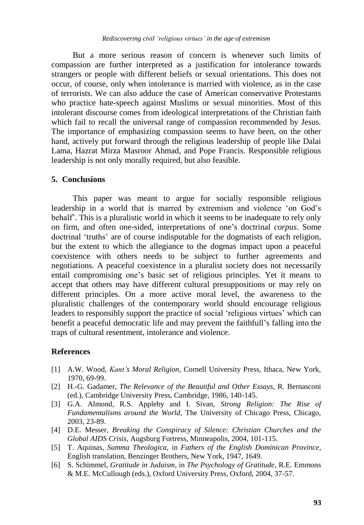But a more serious reason of concern is whenever such limits of compassion are further interpreted as a justification for intolerance towards strangers or people with different beliefs or sexual orientations. This does not occur, of course, only when intolerance is married with violence, as in the case of terrorists. We can also adduce the case of American conservative Protestants who practice hate-speech against Muslims or sexual minorities. Most of this intolerant discourse comes from ideological interpretations of the Christian faith which fail to recall the universal range of compassion recommended by Jesus. The importance of emphasizing compassion seems to have been, on the other hand, actively put forward through the religious leadership of people like Dalai Lama, Hazrat Mirza Masroor Ahmad, and Pope Francis. Responsible religious leadership is not only morally required, but also feasible.

#### **5. Conclusions**

This paper was meant to argue for socially responsible religious leadership in a world that is marred by extremism and violence 'on God's behalf'. This is a pluralistic world in which it seems to be inadequate to rely only on firm, and often one-sided, interpretations of one's doctrinal *corpus*. Some doctrinal 'truths' are of course indisputable for the dogmatists of each religion, but the extent to which the allegiance to the dogmas impact upon a peaceful coexistence with others needs to be subject to further agreements and negotiations. A peaceful coexistence in a pluralist society does not necessarily entail compromising one's basic set of religious principles. Yet it means to accept that others may have different cultural presuppositions or may rely on different principles. On a more active moral level, the awareness to the pluralistic challenges of the contemporary world should encourage religious leaders to responsibly support the practice of social 'religious virtues' which can benefit a peaceful democratic life and may prevent the faithfull's falling into the traps of cultural resentment, intolerance and violence.

#### **References**

- [1] A.W. Wood, *Kant's Moral Religion*, Cornell University Press, Ithaca, New York, 1970, 69-99.
- [2] H.-G. Gadamer, *The Relevance of the Beautiful and Other Essays*, R. Bernasconi (ed.), Cambridge University Press, Cambridge, 1986, 140-145.
- [3] G.A. Almond, R.S. Appleby and I. Sivan, *Strong Religion: The Rise of Fundamentalisms around the World*, The University of Chicago Press, Chicago, 2003, 23-89.
- [4] D.E. Messer, *Breaking the Conspiracy of Silence: Christian Churches and the Global AIDS Crisis*, Augsburg Fortress, Minneapolis, 2004, 101-115.
- [5] T. Aquinas, *Summa Theologica*, in *Fathers of the English Dominican Province*, English translation, Benzinger Brothers, New York, 1947, 1649.
- [6] S. Schimmel, *Gratitude in Judaism*, in *The Psychology of Gratitude*, R.E. Emmons & M.E. McCullough (eds.), Oxford University Press, Oxford, 2004, 37-57.